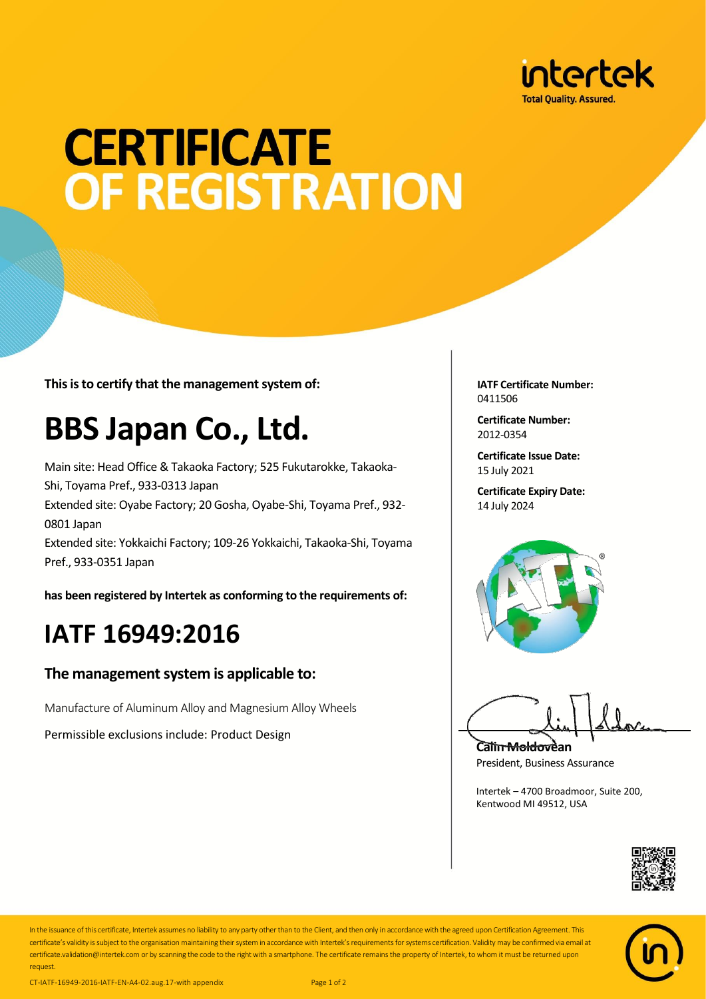

# **CERTIFICATE OF REGISTRATION**

**This is to certify that the management system of:**

## **BBS Japan Co., Ltd.**

Main site: Head Office & Takaoka Factory; 525 Fukutarokke, Takaoka-Shi, Toyama Pref., 933-0313 Japan Extended site: Oyabe Factory; 20 Gosha, Oyabe-Shi, Toyama Pref., 932- 0801 Japan Extended site: Yokkaichi Factory; 109-26 Yokkaichi, Takaoka-Shi, Toyama Pref., 933-0351 Japan

**has been registered by Intertek as conforming to the requirements of:**

### **IATF 16949:2016**

#### **The management system is applicable to:**

Manufacture of Aluminum Alloy and Magnesium Alloy Wheels

Permissible exclusions include: Product Design

**IATF Certificate Number:** 0411506

**Certificate Number:** 2012-0354

**Certificate Issue Date:** 15 July 2021

**Certificate Expiry Date:** 14 July 2024



**Calin Moldovean** President, Business Assurance

Intertek – 4700 Broadmoor, Suite 200, Kentwood MI 49512, USA





In the issuance of this certificate, Intertek assumes no liability to any party other than to the Client, and then only in accordance with the agreed upon Certification Agreement. This certificate's validity is subject to the organisation maintaining their system in accordance with Intertek's requirements for systems certification. Validity may be confirmed via email at certificate.validation@intertek.com or by scanning the code to the right with a smartphone. The certificate remains the property of Intertek, to whom it must be returned upon request.